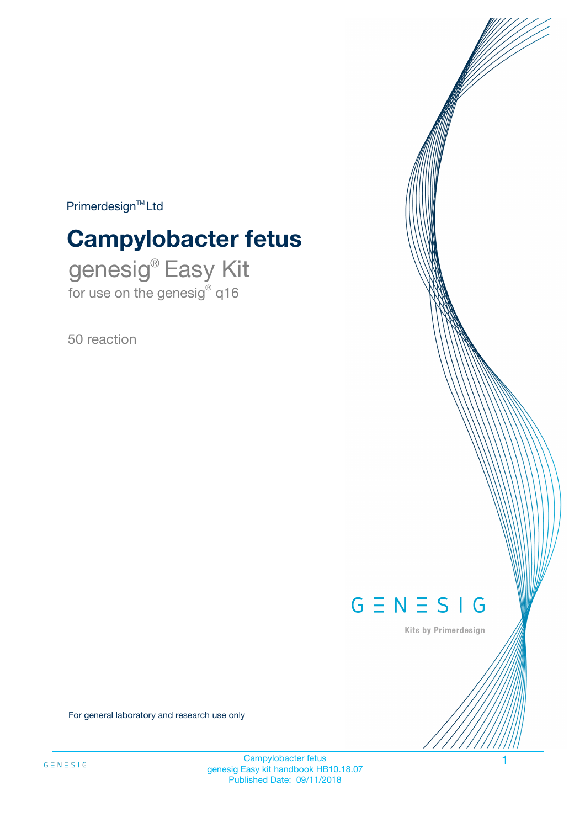$Primerdesign^{\text{TM}}Ltd$ 

# **Campylobacter fetus**

genesig® Easy Kit for use on the genesig® q16

50 reaction



Kits by Primerdesign

For general laboratory and research use only

Campylobacter fetus genesig Easy kit handbook HB10.18.07 Published Date: 09/11/2018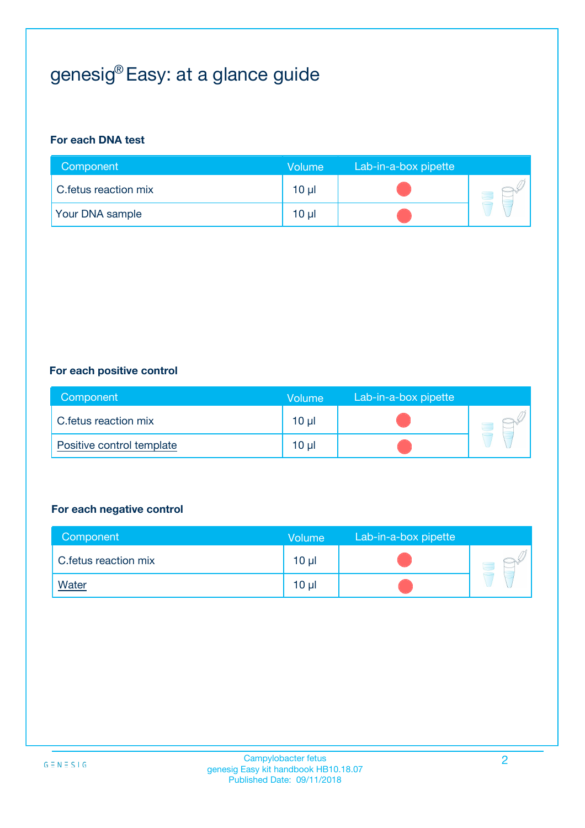## genesig® Easy: at a glance guide

#### **For each DNA test**

| Component              | <b>Volume</b> | Lab-in-a-box pipette |  |
|------------------------|---------------|----------------------|--|
| C.fetus reaction mix   | 10 µl         |                      |  |
| <b>Your DNA sample</b> | 10 µl         |                      |  |

#### **For each positive control**

| Component                 | Volume          | Lab-in-a-box pipette |  |
|---------------------------|-----------------|----------------------|--|
| C.fetus reaction mix      | 10 <sub>µ</sub> |                      |  |
| Positive control template | 10 <sub>µ</sub> |                      |  |

#### **For each negative control**

| Component            | Volume          | Lab-in-a-box pipette |  |
|----------------------|-----------------|----------------------|--|
| C.fetus reaction mix | 10 <sub>µ</sub> |                      |  |
| <b>Water</b>         | 10 <sub>µ</sub> |                      |  |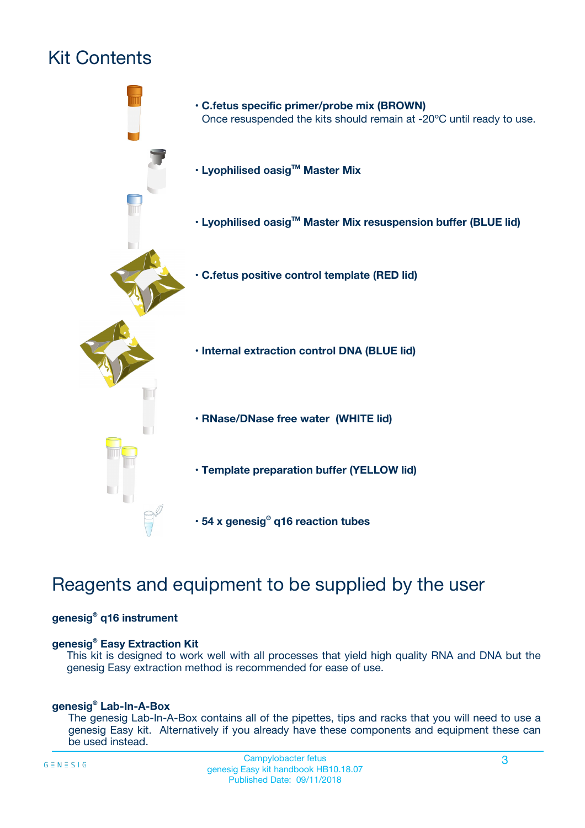## Kit Contents



### Reagents and equipment to be supplied by the user

#### **genesig® q16 instrument**

#### **genesig® Easy Extraction Kit**

This kit is designed to work well with all processes that yield high quality RNA and DNA but the genesig Easy extraction method is recommended for ease of use.

#### **genesig® Lab-In-A-Box**

The genesig Lab-In-A-Box contains all of the pipettes, tips and racks that you will need to use a genesig Easy kit. Alternatively if you already have these components and equipment these can be used instead.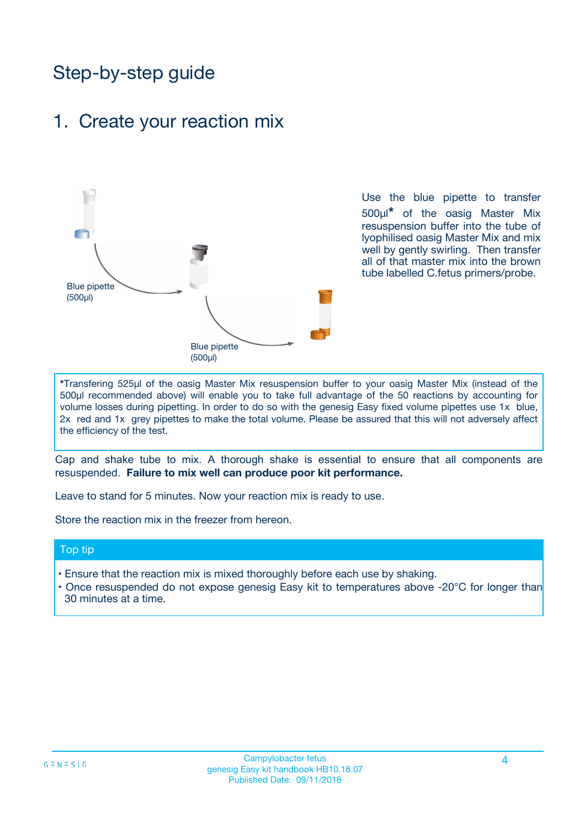### Step-by-step guide

### 1. Create your reaction mix



Use the blue pipette to transfer 500µl**\*** of the oasig Master Mix resuspension buffer into the tube of lyophilised oasig Master Mix and mix well by gently swirling. Then transfer all of that master mix into the brown tube labelled C.fetus primers/probe.

**\***Transfering 525µl of the oasig Master Mix resuspension buffer to your oasig Master Mix (instead of the 500µl recommended above) will enable you to take full advantage of the 50 reactions by accounting for volume losses during pipetting. In order to do so with the genesig Easy fixed volume pipettes use 1x blue, 2x red and 1x grey pipettes to make the total volume. Please be assured that this will not adversely affect the efficiency of the test.

Cap and shake tube to mix. A thorough shake is essential to ensure that all components are resuspended. **Failure to mix well can produce poor kit performance.**

Leave to stand for 5 minutes. Now your reaction mix is ready to use.

Store the reaction mix in the freezer from hereon.

#### Top tip

- Ensure that the reaction mix is mixed thoroughly before each use by shaking.
- **•** Once resuspended do not expose genesig Easy kit to temperatures above -20°C for longer than 30 minutes at a time.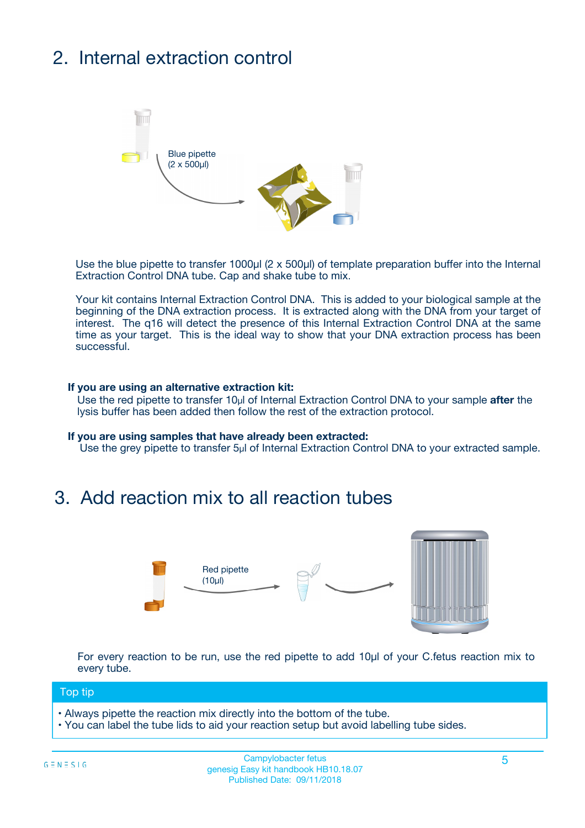## 2. Internal extraction control



Use the blue pipette to transfer 1000µl (2 x 500µl) of template preparation buffer into the Internal Extraction Control DNA tube. Cap and shake tube to mix.

Your kit contains Internal Extraction Control DNA. This is added to your biological sample at the beginning of the DNA extraction process. It is extracted along with the DNA from your target of interest. The q16 will detect the presence of this Internal Extraction Control DNA at the same time as your target. This is the ideal way to show that your DNA extraction process has been **successful.** 

#### **If you are using an alternative extraction kit:**

Use the red pipette to transfer 10µl of Internal Extraction Control DNA to your sample **after** the lysis buffer has been added then follow the rest of the extraction protocol.

#### **If you are using samples that have already been extracted:**

Use the grey pipette to transfer 5µl of Internal Extraction Control DNA to your extracted sample.

### 3. Add reaction mix to all reaction tubes



For every reaction to be run, use the red pipette to add 10µl of your C.fetus reaction mix to every tube.

#### Top tip

- Always pipette the reaction mix directly into the bottom of the tube.
- You can label the tube lids to aid your reaction setup but avoid labelling tube sides.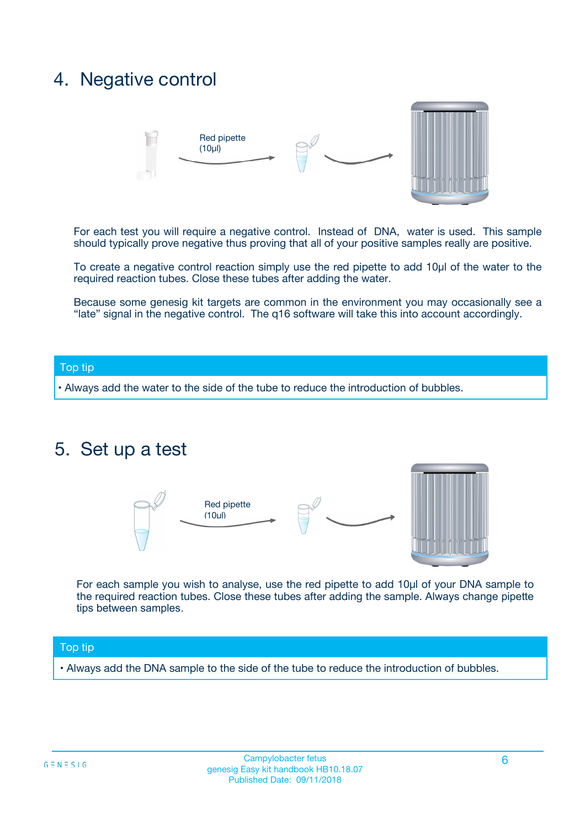### 4. Negative control



For each test you will require a negative control. Instead of DNA, water is used. This sample should typically prove negative thus proving that all of your positive samples really are positive.

To create a negative control reaction simply use the red pipette to add 10µl of the water to the required reaction tubes. Close these tubes after adding the water.

Because some genesig kit targets are common in the environment you may occasionally see a "late" signal in the negative control. The q16 software will take this into account accordingly.

#### Top tip

**•** Always add the water to the side of the tube to reduce the introduction of bubbles.

### 5. Set up a test



For each sample you wish to analyse, use the red pipette to add 10µl of your DNA sample to the required reaction tubes. Close these tubes after adding the sample. Always change pipette tips between samples.

#### Top tip

**•** Always add the DNA sample to the side of the tube to reduce the introduction of bubbles.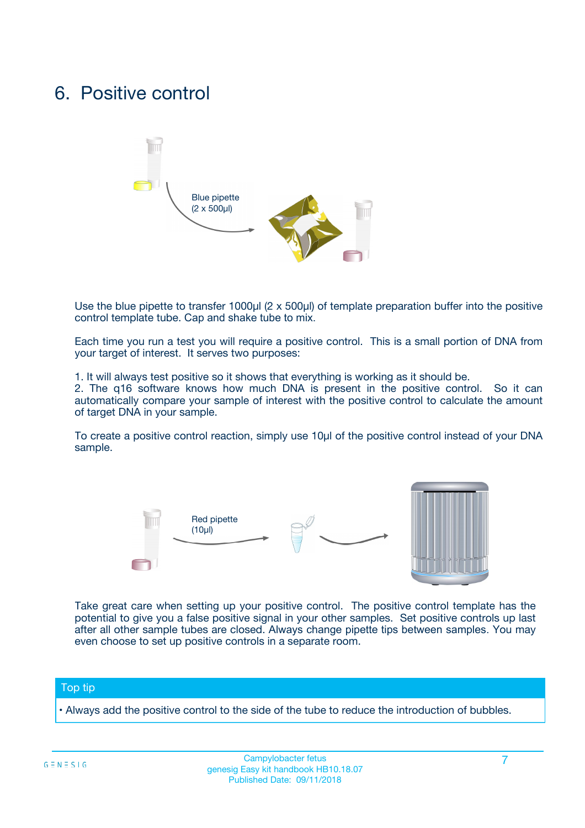### 6. Positive control



Use the blue pipette to transfer 1000µl (2 x 500µl) of template preparation buffer into the positive control template tube. Cap and shake tube to mix.

Each time you run a test you will require a positive control. This is a small portion of DNA from your target of interest. It serves two purposes:

1. It will always test positive so it shows that everything is working as it should be.

2. The q16 software knows how much DNA is present in the positive control. So it can automatically compare your sample of interest with the positive control to calculate the amount of target DNA in your sample.

To create a positive control reaction, simply use 10µl of the positive control instead of your DNA sample.



Take great care when setting up your positive control. The positive control template has the potential to give you a false positive signal in your other samples. Set positive controls up last after all other sample tubes are closed. Always change pipette tips between samples. You may even choose to set up positive controls in a separate room.

#### Top tip

**•** Always add the positive control to the side of the tube to reduce the introduction of bubbles.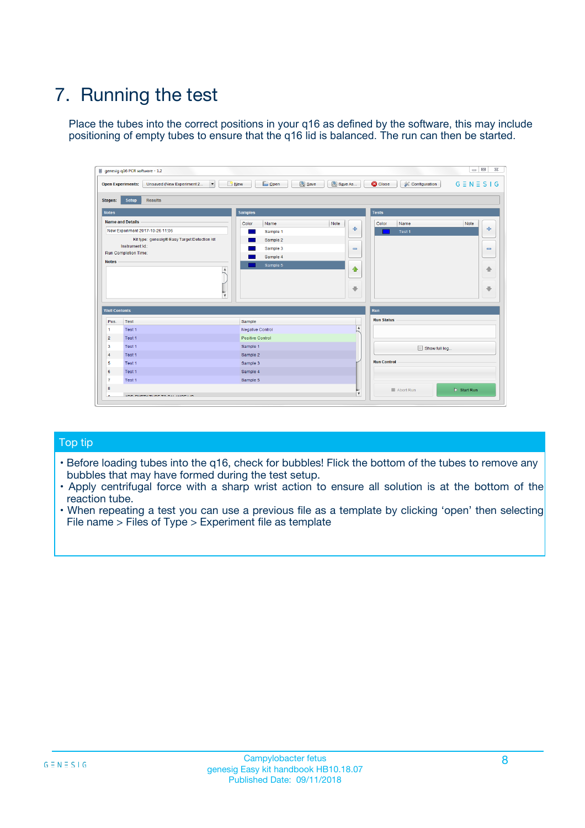## 7. Running the test

Place the tubes into the correct positions in your q16 as defined by the software, this may include positioning of empty tubes to ensure that the q16 lid is balanced. The run can then be started.

| genesig q16 PCR software - 1.2                                               |                                     | $\Box$                                                                                  |
|------------------------------------------------------------------------------|-------------------------------------|-----------------------------------------------------------------------------------------|
| Unsaved (New Experiment 2<br>$\vert \cdot \vert$<br><b>Open Experiments:</b> | <b>D</b> Open<br>Save<br>$\Box$ New | Save As<br><b>C</b> Close<br>$G \equiv N \equiv S \mid G$<br><b>&amp; Configuration</b> |
| Setup<br><b>Results</b><br><b>Stages:</b>                                    |                                     |                                                                                         |
| <b>Notes</b>                                                                 | Samples                             | <b>Tests</b>                                                                            |
| <b>Name and Details</b>                                                      | Color<br>Name                       | Note<br>Color<br>Note<br>Name                                                           |
| New Experiment 2017-10-26 11:06                                              | Sample 1                            | ع<br>条<br>Test 1                                                                        |
| Kit type: genesig® Easy Target Detection kit                                 | Sample 2                            |                                                                                         |
| Instrument Id.:                                                              | Sample 3                            | $\qquad \qquad \blacksquare$<br>$\qquad \qquad \blacksquare$                            |
| Run Completion Time:                                                         | Sample 4                            |                                                                                         |
| <b>Notes</b>                                                                 | Sample 5<br>A<br>v                  | $\triangle$<br>4<br>$\oplus$<br>₩                                                       |
| <b>Well Contents</b>                                                         |                                     | <b>Run</b>                                                                              |
| Pos.<br>Test                                                                 | Sample                              | <b>Run Status</b>                                                                       |
| Test 1<br>-1                                                                 | <b>Negative Control</b>             | $\blacktriangle$                                                                        |
| $\overline{2}$<br>Test 1                                                     | <b>Positive Control</b>             |                                                                                         |
| $\overline{\mathbf{3}}$<br>Test 1                                            | Sample 1                            | Show full log                                                                           |
| Test 1<br>$\overline{4}$                                                     | Sample 2                            |                                                                                         |
| 5<br>Test 1                                                                  | Sample 3                            | <b>Run Control</b>                                                                      |
| 6<br>Test 1                                                                  | Sample 4                            |                                                                                         |
| $\overline{7}$<br>Test 1                                                     | Sample 5                            |                                                                                         |
| 8                                                                            |                                     | $\triangleright$ Start Run<br>Abort Run                                                 |
| <b>JOD FURTY TUDE TO BUILDED IN</b>                                          |                                     | $\overline{\mathbf{v}}$                                                                 |

#### Top tip

- Before loading tubes into the q16, check for bubbles! Flick the bottom of the tubes to remove any bubbles that may have formed during the test setup.
- Apply centrifugal force with a sharp wrist action to ensure all solution is at the bottom of the reaction tube.
- When repeating a test you can use a previous file as a template by clicking 'open' then selecting File name > Files of Type > Experiment file as template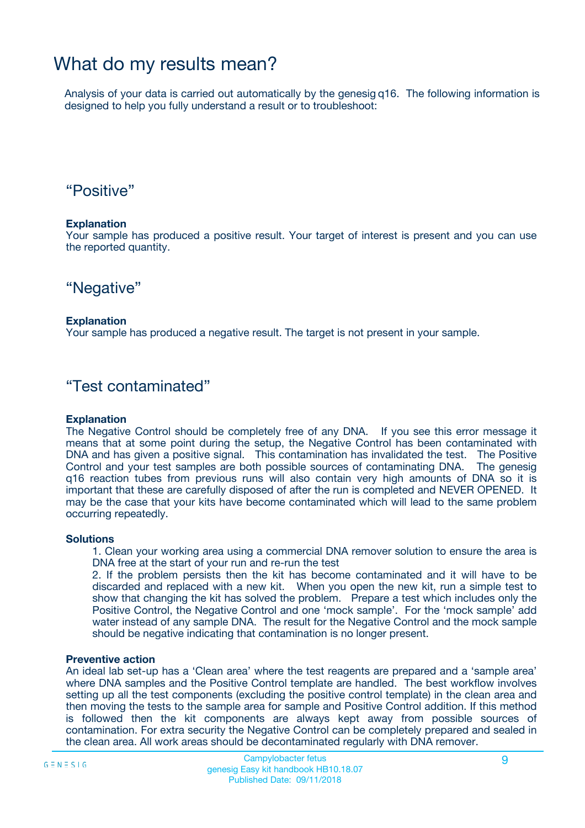### What do my results mean?

Analysis of your data is carried out automatically by the genesig q16. The following information is designed to help you fully understand a result or to troubleshoot:

### "Positive"

#### **Explanation**

Your sample has produced a positive result. Your target of interest is present and you can use the reported quantity.

"Negative"

#### **Explanation**

Your sample has produced a negative result. The target is not present in your sample.

### "Test contaminated"

#### **Explanation**

The Negative Control should be completely free of any DNA. If you see this error message it means that at some point during the setup, the Negative Control has been contaminated with DNA and has given a positive signal. This contamination has invalidated the test. The Positive Control and your test samples are both possible sources of contaminating DNA. The genesig q16 reaction tubes from previous runs will also contain very high amounts of DNA so it is important that these are carefully disposed of after the run is completed and NEVER OPENED. It may be the case that your kits have become contaminated which will lead to the same problem occurring repeatedly.

#### **Solutions**

1. Clean your working area using a commercial DNA remover solution to ensure the area is DNA free at the start of your run and re-run the test

2. If the problem persists then the kit has become contaminated and it will have to be discarded and replaced with a new kit. When you open the new kit, run a simple test to show that changing the kit has solved the problem. Prepare a test which includes only the Positive Control, the Negative Control and one 'mock sample'. For the 'mock sample' add water instead of any sample DNA. The result for the Negative Control and the mock sample should be negative indicating that contamination is no longer present.

#### **Preventive action**

An ideal lab set-up has a 'Clean area' where the test reagents are prepared and a 'sample area' where DNA samples and the Positive Control template are handled. The best workflow involves setting up all the test components (excluding the positive control template) in the clean area and then moving the tests to the sample area for sample and Positive Control addition. If this method is followed then the kit components are always kept away from possible sources of contamination. For extra security the Negative Control can be completely prepared and sealed in the clean area. All work areas should be decontaminated regularly with DNA remover.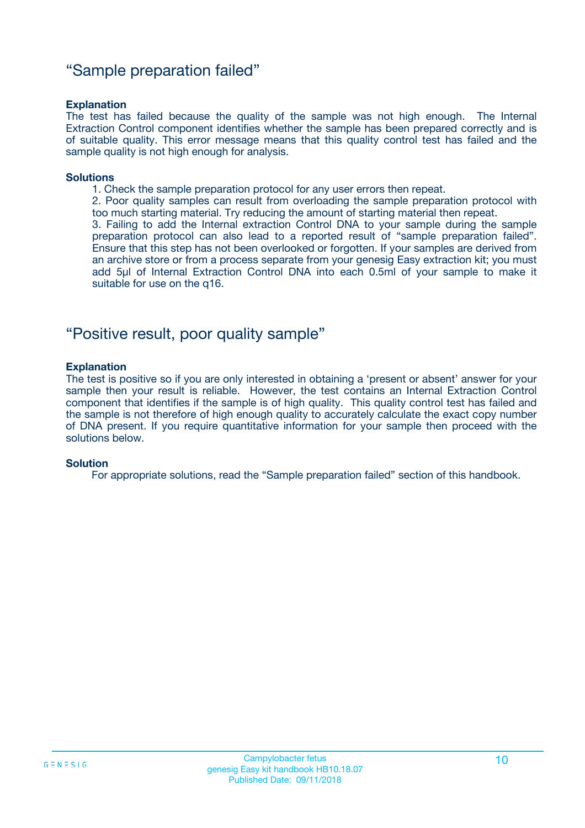### "Sample preparation failed"

#### **Explanation**

The test has failed because the quality of the sample was not high enough. The Internal Extraction Control component identifies whether the sample has been prepared correctly and is of suitable quality. This error message means that this quality control test has failed and the sample quality is not high enough for analysis.

#### **Solutions**

1. Check the sample preparation protocol for any user errors then repeat.

2. Poor quality samples can result from overloading the sample preparation protocol with too much starting material. Try reducing the amount of starting material then repeat.

3. Failing to add the Internal extraction Control DNA to your sample during the sample preparation protocol can also lead to a reported result of "sample preparation failed". Ensure that this step has not been overlooked or forgotten. If your samples are derived from an archive store or from a process separate from your genesig Easy extraction kit; you must add 5µl of Internal Extraction Control DNA into each 0.5ml of your sample to make it suitable for use on the q16.

### "Positive result, poor quality sample"

#### **Explanation**

The test is positive so if you are only interested in obtaining a 'present or absent' answer for your sample then your result is reliable. However, the test contains an Internal Extraction Control component that identifies if the sample is of high quality. This quality control test has failed and the sample is not therefore of high enough quality to accurately calculate the exact copy number of DNA present. If you require quantitative information for your sample then proceed with the solutions below.

#### **Solution**

For appropriate solutions, read the "Sample preparation failed" section of this handbook.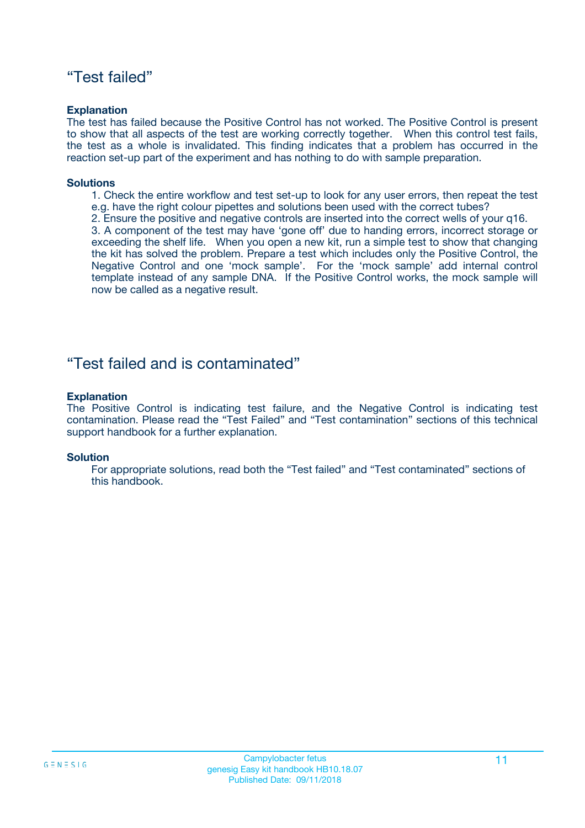### "Test failed"

#### **Explanation**

The test has failed because the Positive Control has not worked. The Positive Control is present to show that all aspects of the test are working correctly together. When this control test fails, the test as a whole is invalidated. This finding indicates that a problem has occurred in the reaction set-up part of the experiment and has nothing to do with sample preparation.

#### **Solutions**

- 1. Check the entire workflow and test set-up to look for any user errors, then repeat the test e.g. have the right colour pipettes and solutions been used with the correct tubes?
- 2. Ensure the positive and negative controls are inserted into the correct wells of your q16.

3. A component of the test may have 'gone off' due to handing errors, incorrect storage or exceeding the shelf life. When you open a new kit, run a simple test to show that changing the kit has solved the problem. Prepare a test which includes only the Positive Control, the Negative Control and one 'mock sample'. For the 'mock sample' add internal control template instead of any sample DNA. If the Positive Control works, the mock sample will now be called as a negative result.

### "Test failed and is contaminated"

#### **Explanation**

The Positive Control is indicating test failure, and the Negative Control is indicating test contamination. Please read the "Test Failed" and "Test contamination" sections of this technical support handbook for a further explanation.

#### **Solution**

For appropriate solutions, read both the "Test failed" and "Test contaminated" sections of this handbook.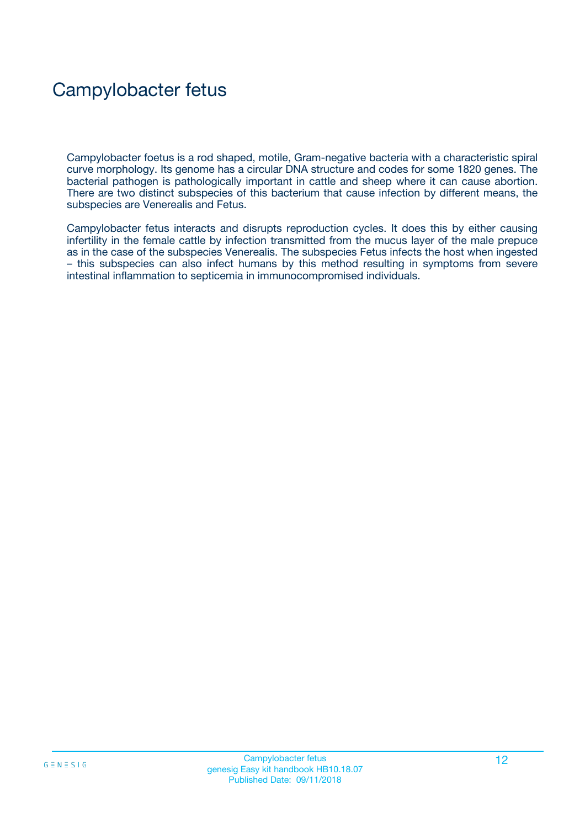## Campylobacter fetus

Campylobacter foetus is a rod shaped, motile, Gram-negative bacteria with a characteristic spiral curve morphology. Its genome has a circular DNA structure and codes for some 1820 genes. The bacterial pathogen is pathologically important in cattle and sheep where it can cause abortion. There are two distinct subspecies of this bacterium that cause infection by different means, the subspecies are Venerealis and Fetus.

Campylobacter fetus interacts and disrupts reproduction cycles. It does this by either causing infertility in the female cattle by infection transmitted from the mucus layer of the male prepuce as in the case of the subspecies Venerealis. The subspecies Fetus infects the host when ingested – this subspecies can also infect humans by this method resulting in symptoms from severe intestinal inflammation to septicemia in immunocompromised individuals.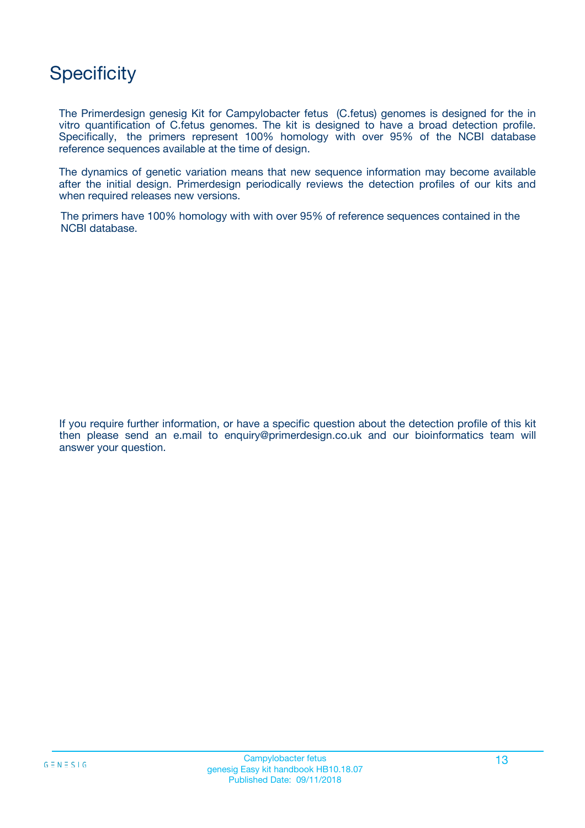### **Specificity**

The Primerdesign genesig Kit for Campylobacter fetus (C.fetus) genomes is designed for the in vitro quantification of C.fetus genomes. The kit is designed to have a broad detection profile. Specifically, the primers represent 100% homology with over 95% of the NCBI database reference sequences available at the time of design.

The dynamics of genetic variation means that new sequence information may become available after the initial design. Primerdesign periodically reviews the detection profiles of our kits and when required releases new versions.

The primers have 100% homology with with over 95% of reference sequences contained in the NCBI database.

If you require further information, or have a specific question about the detection profile of this kit then please send an e.mail to enquiry@primerdesign.co.uk and our bioinformatics team will answer your question.